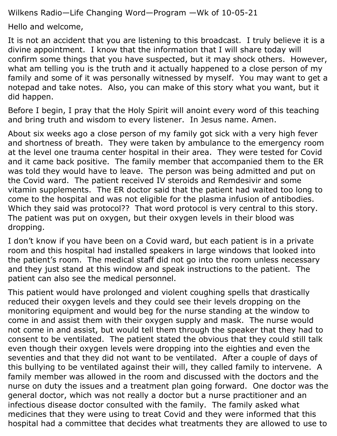Wilkens Radio—Life Changing Word—Program —Wk of 10-05-21

Hello and welcome,

It is not an accident that you are listening to this broadcast. I truly believe it is a divine appointment. I know that the information that I will share today will confirm some things that you have suspected, but it may shock others. However, what am telling you is the truth and it actually happened to a close person of my family and some of it was personally witnessed by myself. You may want to get a notepad and take notes. Also, you can make of this story what you want, but it did happen.

Before I begin, I pray that the Holy Spirit will anoint every word of this teaching and bring truth and wisdom to every listener. In Jesus name. Amen.

About six weeks ago a close person of my family got sick with a very high fever and shortness of breath. They were taken by ambulance to the emergency room at the level one trauma center hospital in their area. They were tested for Covid and it came back positive. The family member that accompanied them to the ER was told they would have to leave. The person was being admitted and put on the Covid ward. The patient received IV steroids and Remdesivir and some vitamin supplements. The ER doctor said that the patient had waited too long to come to the hospital and was not eligible for the plasma infusion of antibodies. Which they said was protocol?? That word protocol is very central to this story. The patient was put on oxygen, but their oxygen levels in their blood was dropping.

I don't know if you have been on a Covid ward, but each patient is in a private room and this hospital had installed speakers in large windows that looked into the patient's room. The medical staff did not go into the room unless necessary and they just stand at this window and speak instructions to the patient. The patient can also see the medical personnel.

This patient would have prolonged and violent coughing spells that drastically reduced their oxygen levels and they could see their levels dropping on the monitoring equipment and would beg for the nurse standing at the window to come in and assist them with their oxygen supply and mask. The nurse would not come in and assist, but would tell them through the speaker that they had to consent to be ventilated. The patient stated the obvious that they could still talk even though their oxygen levels were dropping into the eighties and even the seventies and that they did not want to be ventilated. After a couple of days of this bullying to be ventilated against their will, they called family to intervene. A family member was allowed in the room and discussed with the doctors and the nurse on duty the issues and a treatment plan going forward. One doctor was the general doctor, which was not really a doctor but a nurse practitioner and an infectious disease doctor consulted with the family. The family asked what medicines that they were using to treat Covid and they were informed that this hospital had a committee that decides what treatments they are allowed to use to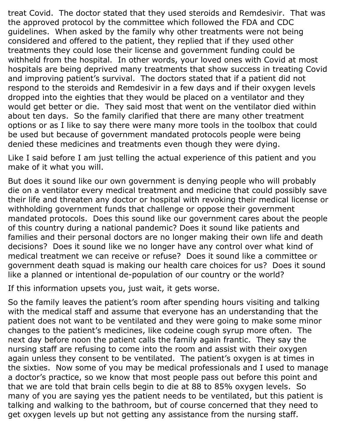treat Covid. The doctor stated that they used steroids and Remdesivir. That was the approved protocol by the committee which followed the FDA and CDC guidelines. When asked by the family why other treatments were not being considered and offered to the patient, they replied that if they used other treatments they could lose their license and government funding could be withheld from the hospital. In other words, your loved ones with Covid at most hospitals are being deprived many treatments that show success in treating Covid and improving patient's survival. The doctors stated that if a patient did not respond to the steroids and Remdesivir in a few days and if their oxygen levels dropped into the eighties that they would be placed on a ventilator and they would get better or die. They said most that went on the ventilator died within about ten days. So the family clarified that there are many other treatment options or as I like to say there were many more tools in the toolbox that could be used but because of government mandated protocols people were being denied these medicines and treatments even though they were dying.

Like I said before I am just telling the actual experience of this patient and you make of it what you will.

But does it sound like our own government is denying people who will probably die on a ventilator every medical treatment and medicine that could possibly save their life and threaten any doctor or hospital with revoking their medical license or withholding government funds that challenge or oppose their government mandated protocols. Does this sound like our government cares about the people of this country during a national pandemic? Does it sound like patients and families and their personal doctors are no longer making their own life and death decisions? Does it sound like we no longer have any control over what kind of medical treatment we can receive or refuse? Does it sound like a committee or government death squad is making our health care choices for us? Does it sound like a planned or intentional de-population of our country or the world?

If this information upsets you, just wait, it gets worse.

So the family leaves the patient's room after spending hours visiting and talking with the medical staff and assume that everyone has an understanding that the patient does not want to be ventilated and they were going to make some minor changes to the patient's medicines, like codeine cough syrup more often. The next day before noon the patient calls the family again frantic. They say the nursing staff are refusing to come into the room and assist with their oxygen again unless they consent to be ventilated. The patient's oxygen is at times in the sixties. Now some of you may be medical professionals and I used to manage a doctor's practice, so we know that most people pass out before this point and that we are told that brain cells begin to die at 88 to 85% oxygen levels. So many of you are saying yes the patient needs to be ventilated, but this patient is talking and walking to the bathroom, but of course concerned that they need to get oxygen levels up but not getting any assistance from the nursing staff.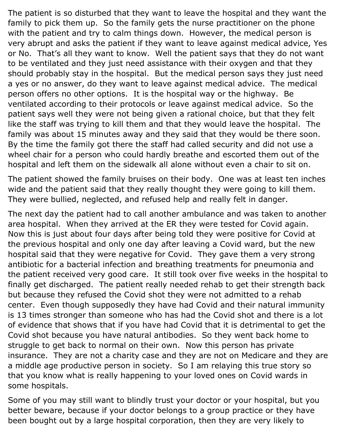The patient is so disturbed that they want to leave the hospital and they want the family to pick them up. So the family gets the nurse practitioner on the phone with the patient and try to calm things down. However, the medical person is very abrupt and asks the patient if they want to leave against medical advice, Yes or No. That's all they want to know. Well the patient says that they do not want to be ventilated and they just need assistance with their oxygen and that they should probably stay in the hospital. But the medical person says they just need a yes or no answer, do they want to leave against medical advice. The medical person offers no other options. It is the hospital way or the highway. Be ventilated according to their protocols or leave against medical advice. So the patient says well they were not being given a rational choice, but that they felt like the staff was trying to kill them and that they would leave the hospital. The family was about 15 minutes away and they said that they would be there soon. By the time the family got there the staff had called security and did not use a wheel chair for a person who could hardly breathe and escorted them out of the hospital and left them on the sidewalk all alone without even a chair to sit on.

The patient showed the family bruises on their body. One was at least ten inches wide and the patient said that they really thought they were going to kill them. They were bullied, neglected, and refused help and really felt in danger.

The next day the patient had to call another ambulance and was taken to another area hospital. When they arrived at the ER they were tested for Covid again. Now this is just about four days after being told they were positive for Covid at the previous hospital and only one day after leaving a Covid ward, but the new hospital said that they were negative for Covid. They gave them a very strong antibiotic for a bacterial infection and breathing treatments for pneumonia and the patient received very good care. It still took over five weeks in the hospital to finally get discharged. The patient really needed rehab to get their strength back but because they refused the Covid shot they were not admitted to a rehab center. Even though supposedly they have had Covid and their natural immunity is 13 times stronger than someone who has had the Covid shot and there is a lot of evidence that shows that if you have had Covid that it is detrimental to get the Covid shot because you have natural antibodies. So they went back home to struggle to get back to normal on their own. Now this person has private insurance. They are not a charity case and they are not on Medicare and they are a middle age productive person in society. So I am relaying this true story so that you know what is really happening to your loved ones on Covid wards in some hospitals.

Some of you may still want to blindly trust your doctor or your hospital, but you better beware, because if your doctor belongs to a group practice or they have been bought out by a large hospital corporation, then they are very likely to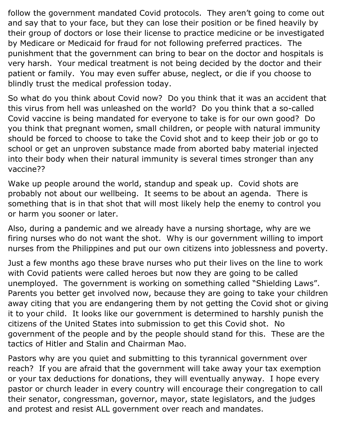follow the government mandated Covid protocols. They aren't going to come out and say that to your face, but they can lose their position or be fined heavily by their group of doctors or lose their license to practice medicine or be investigated by Medicare or Medicaid for fraud for not following preferred practices. The punishment that the government can bring to bear on the doctor and hospitals is very harsh. Your medical treatment is not being decided by the doctor and their patient or family. You may even suffer abuse, neglect, or die if you choose to blindly trust the medical profession today.

So what do you think about Covid now? Do you think that it was an accident that this virus from hell was unleashed on the world? Do you think that a so-called Covid vaccine is being mandated for everyone to take is for our own good? Do you think that pregnant women, small children, or people with natural immunity should be forced to choose to take the Covid shot and to keep their job or go to school or get an unproven substance made from aborted baby material injected into their body when their natural immunity is several times stronger than any vaccine??

Wake up people around the world, standup and speak up. Covid shots are probably not about our wellbeing. It seems to be about an agenda. There is something that is in that shot that will most likely help the enemy to control you or harm you sooner or later.

Also, during a pandemic and we already have a nursing shortage, why are we firing nurses who do not want the shot. Why is our government willing to import nurses from the Philippines and put our own citizens into joblessness and poverty.

Just a few months ago these brave nurses who put their lives on the line to work with Covid patients were called heroes but now they are going to be called unemployed. The government is working on something called "Shielding Laws". Parents you better get involved now, because they are going to take your children away citing that you are endangering them by not getting the Covid shot or giving it to your child. It looks like our government is determined to harshly punish the citizens of the United States into submission to get this Covid shot. No government of the people and by the people should stand for this. These are the tactics of Hitler and Stalin and Chairman Mao.

Pastors why are you quiet and submitting to this tyrannical government over reach? If you are afraid that the government will take away your tax exemption or your tax deductions for donations, they will eventually anyway. I hope every pastor or church leader in every country will encourage their congregation to call their senator, congressman, governor, mayor, state legislators, and the judges and protest and resist ALL government over reach and mandates.